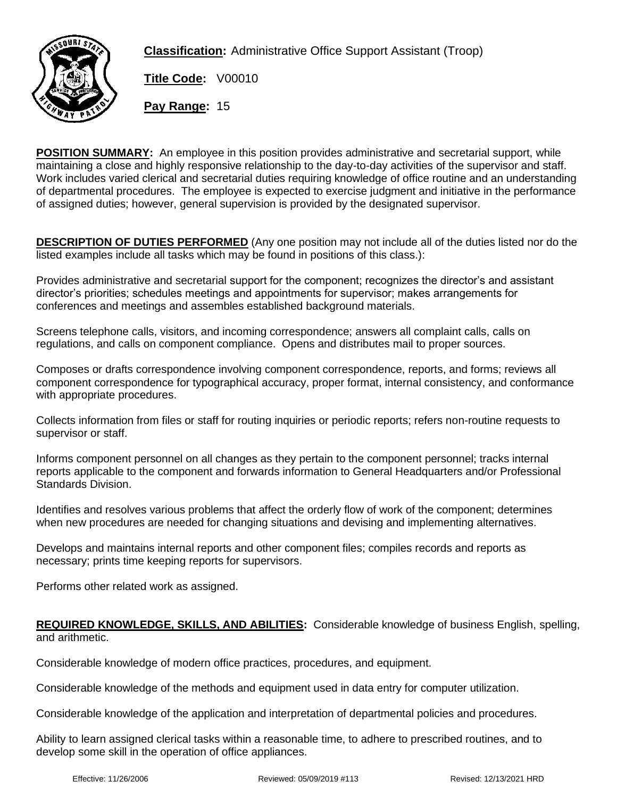

**Classification:** Administrative Office Support Assistant (Troop)

**Title Code:** V00010

**Pay Range:** 15

**POSITION SUMMARY:** An employee in this position provides administrative and secretarial support, while maintaining a close and highly responsive relationship to the day-to-day activities of the supervisor and staff. Work includes varied clerical and secretarial duties requiring knowledge of office routine and an understanding of departmental procedures. The employee is expected to exercise judgment and initiative in the performance of assigned duties; however, general supervision is provided by the designated supervisor.

**DESCRIPTION OF DUTIES PERFORMED** (Any one position may not include all of the duties listed nor do the listed examples include all tasks which may be found in positions of this class.):

Provides administrative and secretarial support for the component; recognizes the director's and assistant director's priorities; schedules meetings and appointments for supervisor; makes arrangements for conferences and meetings and assembles established background materials.

Screens telephone calls, visitors, and incoming correspondence; answers all complaint calls, calls on regulations, and calls on component compliance. Opens and distributes mail to proper sources.

Composes or drafts correspondence involving component correspondence, reports, and forms; reviews all component correspondence for typographical accuracy, proper format, internal consistency, and conformance with appropriate procedures.

Collects information from files or staff for routing inquiries or periodic reports; refers non-routine requests to supervisor or staff.

Informs component personnel on all changes as they pertain to the component personnel; tracks internal reports applicable to the component and forwards information to General Headquarters and/or Professional Standards Division.

Identifies and resolves various problems that affect the orderly flow of work of the component; determines when new procedures are needed for changing situations and devising and implementing alternatives.

Develops and maintains internal reports and other component files; compiles records and reports as necessary; prints time keeping reports for supervisors.

Performs other related work as assigned.

**REQUIRED KNOWLEDGE, SKILLS, AND ABILITIES:** Considerable knowledge of business English, spelling, and arithmetic.

Considerable knowledge of modern office practices, procedures, and equipment.

Considerable knowledge of the methods and equipment used in data entry for computer utilization.

Considerable knowledge of the application and interpretation of departmental policies and procedures.

Ability to learn assigned clerical tasks within a reasonable time, to adhere to prescribed routines, and to develop some skill in the operation of office appliances.